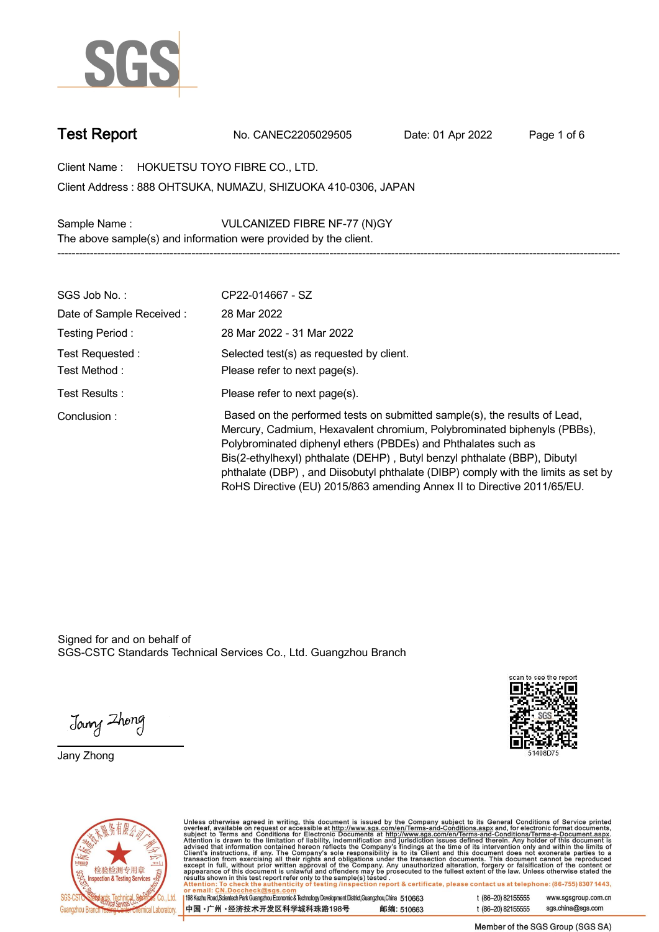

**Test Report. No. CANEC2205029505 . Date: 01 Apr 2022. Page 1 of 6.**

**Client Name : HOKUETSU TOYO FIBRE CO., LTD. . 888 OHTSUKA, NUMAZU, SHIZUOKA 410-0306, JAPAN . Client Address :**

**Sample Name : VULCANIZED FIBRE NF-77 (N)GY . The above sample(s) and information were provided by the client.**

| SGS Job No.:                     | CP22-014667 - SZ                                                                                                                                                                                                                                                                                                                                                                                                                                                   |
|----------------------------------|--------------------------------------------------------------------------------------------------------------------------------------------------------------------------------------------------------------------------------------------------------------------------------------------------------------------------------------------------------------------------------------------------------------------------------------------------------------------|
| Date of Sample Received:         | 28 Mar 2022                                                                                                                                                                                                                                                                                                                                                                                                                                                        |
| Testing Period:                  | 28 Mar 2022 - 31 Mar 2022                                                                                                                                                                                                                                                                                                                                                                                                                                          |
| Test Requested :<br>Test Method: | Selected test(s) as requested by client.<br>Please refer to next page(s).                                                                                                                                                                                                                                                                                                                                                                                          |
| Test Results:                    | Please refer to next page(s).                                                                                                                                                                                                                                                                                                                                                                                                                                      |
| Conclusion:                      | Based on the performed tests on submitted sample(s), the results of Lead,<br>Mercury, Cadmium, Hexavalent chromium, Polybrominated biphenyls (PBBs),<br>Polybrominated diphenyl ethers (PBDEs) and Phthalates such as<br>Bis(2-ethylhexyl) phthalate (DEHP), Butyl benzyl phthalate (BBP), Dibutyl<br>phthalate (DBP), and Diisobutyl phthalate (DIBP) comply with the limits as set by<br>RoHS Directive (EU) 2015/863 amending Annex II to Directive 2011/65/EU. |

**-----------------------------------------------------------------------------------------------------------------------------------------------------------**

Signed for and on behalf of SGS-CSTC Standards Technical Services Co., Ltd. Guangzhou Branch.

Jany Zhong

**Jany Zhong.**





Unless otherwise agreed in writing, this document is issued by the Company subject to its General Conditions of Service printed<br>overleaf, available on request or accessible at http://www.sgs.com/en/Terms-and-Conditions.as

| 198 Kezhu Road,Scientech Park Guangzhou Economic & Technology Development District,Guangzhou,China 510663 |            |
|-----------------------------------------------------------------------------------------------------------|------------|
| 中国 •广州 •经济技术开发区科学城科珠路198号                                                                                 | 邮编: 510663 |

t (86-20) 82155555 www.sgsgroup.com.cn sgs.china@sgs.com t (86-20) 82155555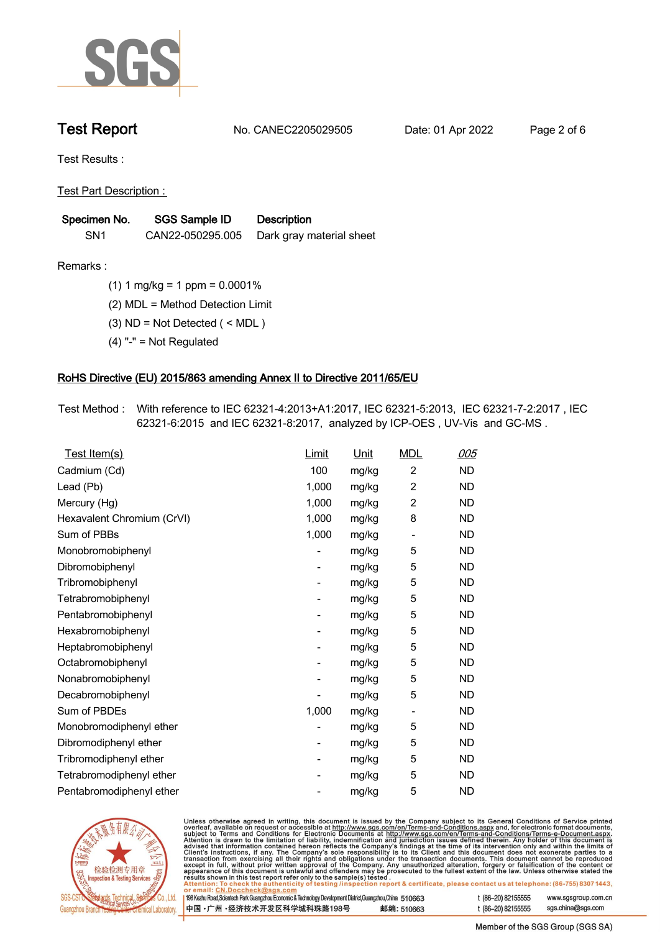

**Test Report. No. CANEC2205029505 . Date: 01 Apr 2022. Page 2 of 6.**

**Test Results :.**

**Test Part Description : .**

| Specimen No.    | SGS Sample ID    | <b>Description</b>       |
|-----------------|------------------|--------------------------|
| SN <sub>1</sub> | CAN22-050295.005 | Dark gray material sheet |

**Remarks :.(1) 1 mg/kg = 1 ppm = 0.0001% .**

**(2) MDL = Method Detection Limit .**

**(3) ND = Not Detected ( < MDL ) .**

**(4) "-" = Not Regulated .**

## **RoHS Directive (EU) 2015/863 amending Annex II to Directive 2011/65/EU.**

**Test Method :. With reference to IEC 62321-4:2013+A1:2017, IEC 62321-5:2013, IEC 62321-7-2:2017 , IEC 62321-6:2015 and IEC 62321-8:2017, analyzed by ICP-OES , UV-Vis and GC-MS . .**

| Test Item(s)               | Limit                    | Unit  | <b>MDL</b>               | <u>005</u> |
|----------------------------|--------------------------|-------|--------------------------|------------|
| Cadmium (Cd)               | 100                      | mg/kg | $\overline{2}$           | <b>ND</b>  |
| Lead (Pb)                  | 1,000                    | mg/kg | $\overline{2}$           | <b>ND</b>  |
| Mercury (Hg)               | 1,000                    | mg/kg | $\overline{2}$           | <b>ND</b>  |
| Hexavalent Chromium (CrVI) | 1,000                    | mg/kg | 8                        | <b>ND</b>  |
| Sum of PBBs                | 1,000                    | mg/kg | $\overline{\phantom{0}}$ | <b>ND</b>  |
| Monobromobiphenyl          |                          | mg/kg | 5                        | <b>ND</b>  |
| Dibromobiphenyl            | $\overline{\phantom{0}}$ | mg/kg | 5                        | <b>ND</b>  |
| Tribromobiphenyl           | $\overline{\phantom{a}}$ | mg/kg | 5                        | <b>ND</b>  |
| Tetrabromobiphenyl         |                          | mg/kg | 5                        | <b>ND</b>  |
| Pentabromobiphenyl         | -                        | mg/kg | 5                        | <b>ND</b>  |
| Hexabromobiphenyl          |                          | mg/kg | 5                        | <b>ND</b>  |
| Heptabromobiphenyl         |                          | mg/kg | 5                        | <b>ND</b>  |
| Octabromobiphenyl          | -                        | mg/kg | 5                        | <b>ND</b>  |
| Nonabromobiphenyl          |                          | mg/kg | 5                        | <b>ND</b>  |
| Decabromobiphenyl          |                          | mg/kg | 5                        | <b>ND</b>  |
| Sum of PBDEs               | 1,000                    | mg/kg | $\overline{\phantom{a}}$ | <b>ND</b>  |
| Monobromodiphenyl ether    |                          | mg/kg | 5                        | <b>ND</b>  |
| Dibromodiphenyl ether      |                          | mg/kg | 5                        | <b>ND</b>  |
| Tribromodiphenyl ether     | -                        | mg/kg | 5                        | <b>ND</b>  |
| Tetrabromodiphenyl ether   |                          | mg/kg | 5                        | <b>ND</b>  |
| Pentabromodiphenyl ether   |                          | mg/kg | 5                        | <b>ND</b>  |



Unless otherwise agreed in writing, this document is issued by the Company subject to its General Conditions of Service printed overleaf, available on request or accessible at http://www.sgs.com/en/Terms-and-Conditions.as

| or email: CN.Doccheck@sgs.com                                                                                |            |                    |                     |
|--------------------------------------------------------------------------------------------------------------|------------|--------------------|---------------------|
| 198 Kezhu Road, Scientech Park Guangzhou Economic & Technology Development District, Guangzhou, China 510663 |            | t (86-20) 82155555 | www.sgsgroup.com.cl |
| ┃中国 •广州 •经济技术开发区科学城科珠路198号 ↓                                                                                 | 邮编: 510663 | t (86-20) 82155555 | sgs.china@sgs.com   |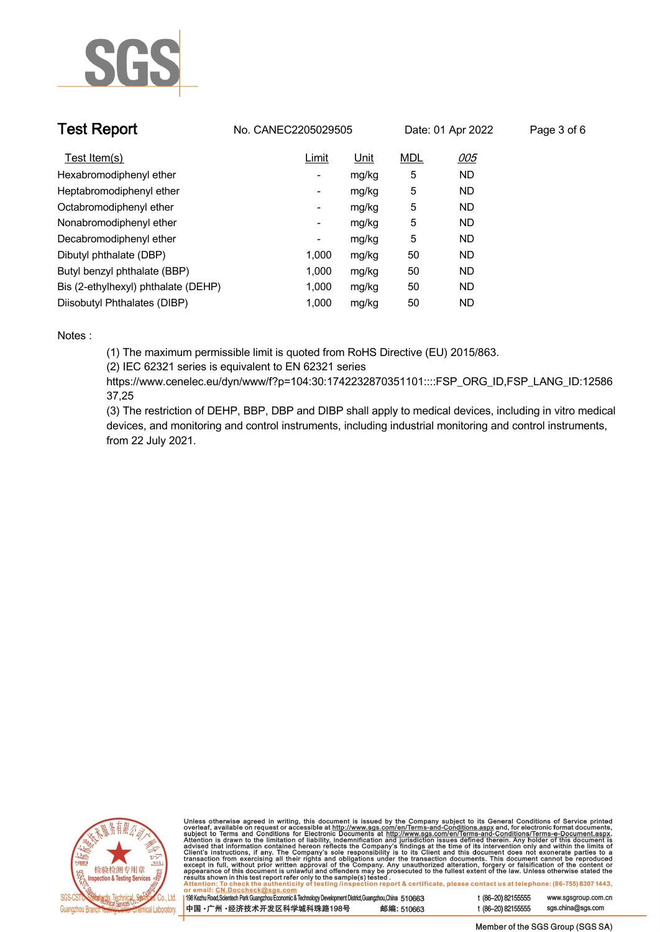

| <b>Test Report</b>                  | No. CANEC2205029505      |             |            | Date: 01 Apr 2022 | Page 3 of 6 |
|-------------------------------------|--------------------------|-------------|------------|-------------------|-------------|
| Test Item(s)                        | Limit                    | <u>Unit</u> | <b>MDL</b> | 005               |             |
| Hexabromodiphenyl ether             | ٠                        | mg/kg       | 5          | <b>ND</b>         |             |
| Heptabromodiphenyl ether            | ٠                        | mg/kg       | 5          | <b>ND</b>         |             |
| Octabromodiphenyl ether             | $\overline{\phantom{a}}$ | mg/kg       | 5          | <b>ND</b>         |             |
| Nonabromodiphenyl ether             | $\overline{\phantom{a}}$ | mg/kg       | 5          | <b>ND</b>         |             |
| Decabromodiphenyl ether             | -                        | mg/kg       | 5          | <b>ND</b>         |             |
| Dibutyl phthalate (DBP)             | 1.000                    | mg/kg       | 50         | <b>ND</b>         |             |
| Butyl benzyl phthalate (BBP)        | 1.000                    | mg/kg       | 50         | ND                |             |
| Bis (2-ethylhexyl) phthalate (DEHP) | 1.000                    | mg/kg       | 50         | <b>ND</b>         |             |
| Diisobutyl Phthalates (DIBP)        | 1.000                    | mg/kg       | 50         | ND                |             |

### **Notes :.**

**(1) The maximum permissible limit is quoted from RoHS Directive (EU) 2015/863.**

**(2) IEC 62321 series is equivalent to EN 62321 series**

**https://www.cenelec.eu/dyn/www/f?p=104:30:1742232870351101::::FSP\_ORG\_ID,FSP\_LANG\_ID:12586 37,25**

**(3) The restriction of DEHP, BBP, DBP and DIBP shall apply to medical devices, including in vitro medical devices, and monitoring and control instruments, including industrial monitoring and control instruments, from 22 July 2021..**



Unless otherwise agreed in writing, this document is issued by the Company subject to its General Conditions of Service printed<br>overleaf, available on request or accessible at http://www.sgs.com/en/Terms-and-Conditions.as

| 198 Kezhu Road,Scientech Park Guangzhou Economic & Technology Development District,Guangzhou,China   51 O663 |            |  |
|--------------------------------------------------------------------------------------------------------------|------------|--|
| 中国 •广州 •经济技术开发区科学城科珠路198号                                                                                    | 邮编: 510663 |  |

www.sgsgroup.com.cn

t (86-20) 82155555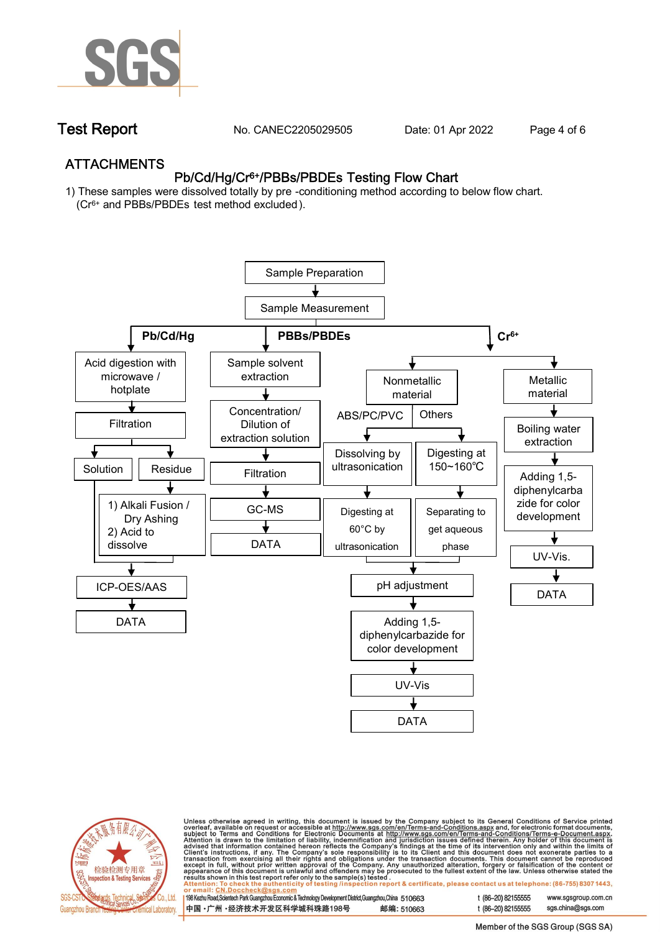

**Test Report. No. CANEC2205029505 . Date: 01 Apr 2022. Page 4 of 6.**

## **ATTACHMENTS Pb/Cd/Hg/Cr6+/PBBs/PBDEs Testing Flow Chart**

**1) These samples were dissolved totally by pre -conditioning method according to below flow chart. (Cr6+ and PBBs/PBDEs test method excluded ).**





Unless otherwise agreed in writing, this document is issued by the Company subject to its General Conditions of Service printed<br>overleaf, available on request or accessible at <u>http://www.sgs.com/en/Terms-and-Conditions.a</u>

| 198 Kezhu Road,Scientech Park Guangzhou Economic & Technology Development District,Guangzhou,China   510663 |            |
|-------------------------------------------------------------------------------------------------------------|------------|
| 中国 •广州 •经济技术开发区科学城科珠路198号 ;                                                                                 | 邮编: 510663 |

t (86-20) 82155555 t (86-20) 82155555 sas.china@sas.com

www.sgsgroup.com.cn

Member of the SGS Group (SGS SA)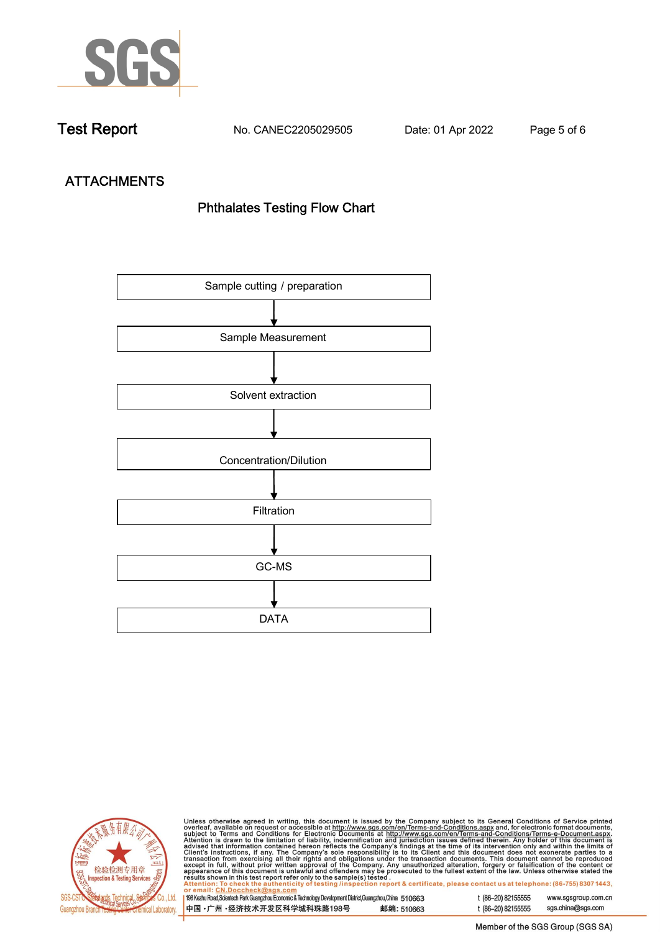

**Test Report. No. CANEC2205029505 . Date: 01 Apr 2022. Page 5 of 6.**

# **ATTACHMENTS Phthalates Testing Flow Chart**





Unless otherwise agreed in writing, this document is issued by the Company subject to its General Conditions of Service printed<br>overleaf, available on request or accessible at http://www.sgs.com/en/Terms-and-Conditions.as

| <u>Ul ciliali, UN.DUCCIICUNWOYS.CUIII</u>                                                                    |            |
|--------------------------------------------------------------------------------------------------------------|------------|
| 198 Kezhu Road, Scientech Park Guangzhou Economic & Technology Development District, Guangzhou, China 510663 |            |
| 中国 •广州 •经济技术开发区科学城科珠路198号                                                                                    | 邮编: 510663 |

t (86-20) 82155555 sgs.china@sgs.com

www.sgsgroup.com.cn

t (86-20) 82155555

Member of the SGS Group (SGS SA)